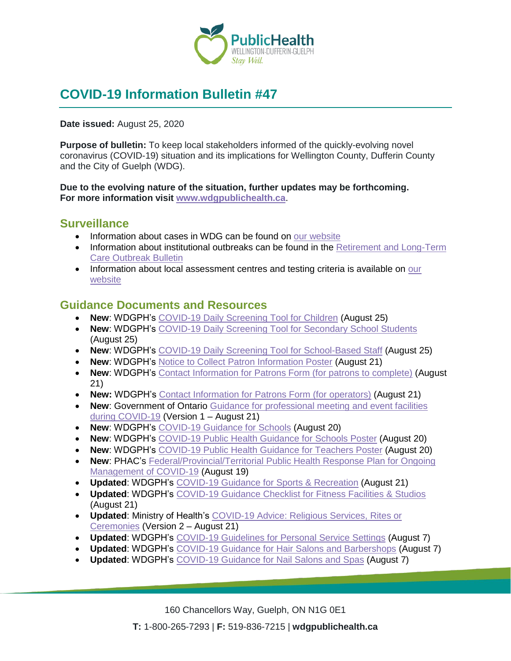

# **COVID-19 Information Bulletin #47**

#### **Date issued:** August 25, 2020

**Purpose of bulletin:** To keep local stakeholders informed of the quickly-evolving novel coronavirus (COVID-19) situation and its implications for Wellington County, Dufferin County and the City of Guelph (WDG).

#### **Due to the evolving nature of the situation, further updates may be forthcoming. For more information visit [www.wdgpublichealth.ca](http://www.wdgpublichealth.ca/)**.

### **Surveillance**

- Information about cases in WDG can be found on [our website](https://wdgpublichealth.ca/your-health/covid-19-information-public/status-cases-wdg)
- Information about institutional outbreaks can be found in the Retirement and Long-Term [Care Outbreak Bulletin](https://wdgpublichealth.ca/node/1542)
- Information about local assessment centres and testing criteria is available on our [website](https://www.wdgpublichealth.ca/your-health/covid-19-information-public/assessment-centres-wdg)

### **Guidance Documents and Resources**

- **New**: WDGPH's [COVID-19 Daily Screening Tool for Children](https://www.wdgpublichealth.ca/sites/default/files/covid-19_screening_tool_for_school_children.pdf) (August 25)
- **New**: WDGPH's [COVID-19 Daily Screening Tool for Secondary School Students](https://www.wdgpublichealth.ca/sites/default/files/covid-19_daily_screening_tool_for_secondary_school_students.pdf) (August 25)
- **New**: WDGPH's [COVID-19 Daily Screening Tool for School-Based Staff](https://www.wdgpublichealth.ca/sites/default/files/covid-19_daily_screening_tool_for_school-based_staff.pdf) (August 25)
- **New**: WDGPH's [Notice to Collect Patron Information Poster](https://www.wdgpublichealth.ca/sites/default/files/file-attachments/basic-page/wdgph_covid-19_contact_info_poster_aug_21_2020.pdf) (August 21)
- **New**: WDGPH's [Contact Information for Patrons Form \(for patrons to](https://www.wdgpublichealth.ca/sites/default/files/file-attachments/basic-page/wdgph_covid-19_contact_info_template_patronversion_aug_21_2020.pdf) complete) (August 21)
- **New:** WDGPH's [Contact Information for Patrons Form \(for](https://www.wdgpublichealth.ca/sites/default/files/file-attachments/basic-page/wdgph_covid-19_contact_info_template_operatorversion_aug_21_2020.pdf) operators) (August 21)
- **New**: Government of Ontario [Guidance for professional meeting and event facilities](https://www.ontario.ca/page/guidance-professional-meeting-and-event-facilities-during-covid-19?_ga=2.40023332.787508530.1597631626-1621871883.1579276440)  [during COVID-19](https://www.ontario.ca/page/guidance-professional-meeting-and-event-facilities-during-covid-19?_ga=2.40023332.787508530.1597631626-1621871883.1579276440) (Version 1 – August 21)
- **New**: WDGPH's [COVID-19 Guidance for Schools](https://www.wdgpublichealth.ca/sites/default/files/covid-19_guidance_for_schools_1-page_info_0.pdf) (August 20)
- **New**: WDGPH's [COVID-19 Public Health Guidance for](https://www.wdgpublichealth.ca/sites/default/files/covid-19_guidance_for_schools_poster.pdf) Schools Poster (August 20)
- **New**: WDGPH's COVID-19 [Public Health Guidance for Teachers Poster](https://www.wdgpublichealth.ca/sites/default/files/covid-19_guidance_for_teachers_poster.pdf) (August 20)
- **New**: PHAC's [Federal/Provincial/Territorial Public Health Response Plan for Ongoing](https://www.canada.ca/en/public-health/services/diseases/2019-novel-coronavirus-infection/guidance-documents/federal-provincial-territorial-public-health-response-plan-ongoing-management-covid-19.html)  [Management of COVID-19](https://www.canada.ca/en/public-health/services/diseases/2019-novel-coronavirus-infection/guidance-documents/federal-provincial-territorial-public-health-response-plan-ongoing-management-covid-19.html) (August 19)
- **Updated**: WDGPH's [COVID-19 Guidance for Sports & Recreation](https://www.wdgpublichealth.ca/sites/default/files/file-attachments/basic-page/wdgph_guidance_for_sports_and_rec_aug_21_2020.pdf) (August 21)
- **Updated: WDGPH's [COVID-19 Guidance Checklist for Fitness Facilities & Studios](https://www.wdgpublichealth.ca/sites/default/files/file-attachments/basic-page/wdgph_covid-19_guidance_checklist_for_fitness_facilities_aug_21_2020.pdf)** (August 21)
- **Updated**: Ministry of Health's [COVID-19 Advice: Religious Services, Rites or](http://www.health.gov.on.ca/en/pro/programs/publichealth/coronavirus/docs/advice_religious_services.pdf)  [Ceremonies](http://www.health.gov.on.ca/en/pro/programs/publichealth/coronavirus/docs/advice_religious_services.pdf) (Version 2 – August 21)
- **Updated**: WDGPH's [COVID-19 Guidelines for Personal Service](https://www.wdgpublichealth.ca/sites/default/files/wdg_pss_covid-19_guidelines_aug_7_2020.pdf) Settings (August 7)
- **Updated: WDGPH's [COVID-19 Guidance for Hair Salons and](https://www.wdgpublichealth.ca/sites/default/files/wdg_hair_salon_fact_sheet_aug_7_2020.pdf) Barbershops (August 7)**
- **Updated**: WDGPH's [COVID-19 Guidance for Nail Salons and](https://www.wdgpublichealth.ca/sites/default/files/wdg_nail_salon_fact_sheet_aug_7_2020.pdf) Spas (August 7)

160 Chancellors Way, Guelph, ON N1G 0E1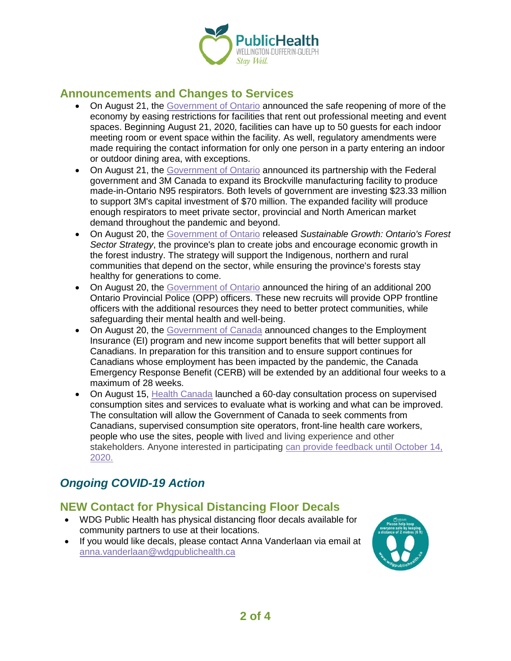

### **Announcements and Changes to Services**

- On August 21, the [Government of Ontario](https://www.news.ontario.ca/mtc/en/2020/08/ontario-expands-indoor-capacity-for-meeting-and-event-facilities.html) announced the safe reopening of more of the economy by easing restrictions for facilities that rent out professional meeting and event spaces. Beginning August 21, 2020, facilities can have up to 50 guests for each indoor meeting room or event space within the facility. As well, regulatory amendments were made requiring the contact information for only one person in a party entering an indoor or outdoor dining area, with exceptions.
- On August 21, the [Government of Ontario](https://news.ontario.ca/opo/en/2020/08/ontario-partners-with-federal-government-and-3m-canada-on-new-n95-respirator-manufacturing-facility.html) announced its partnership with the Federal government and 3M Canada to expand its Brockville manufacturing facility to produce made-in-Ontario N95 respirators. Both levels of government are investing \$23.33 million to support 3M's capital investment of \$70 million. The expanded facility will produce enough respirators to meet private sector, provincial and North American market demand throughout the pandemic and beyond.
- On August 20, the [Government of Ontario](https://news.ontario.ca/mnr/en/2020/08/ontario-releases-plan-to-grow-and-protect-the-forestry-industry-and-its-forests.html) released *Sustainable Growth: Ontario's Forest Sector Strategy*, the province's plan to create jobs and encourage economic growth in the forest industry. The strategy will support the Indigenous, northern and rural communities that depend on the sector, while ensuring the province's forests stay healthy for generations to come.
- On August 20, the [Government of Ontario](https://news.ontario.ca/opo/en/2020/08/ontario-adding-200-new-provincial-police-officers.html) announced the hiring of an additional 200 Ontario Provincial Police (OPP) officers. These new recruits will provide OPP frontline officers with the additional resources they need to better protect communities, while safeguarding their mental health and well-being.
- On August 20, the [Government of Canada](https://www.canada.ca/en/employment-social-development/news/2020/08/government-of-canada-announces-plan-to-help-support-canadians-through-the-next-phase-of-the-recovery.html) announced changes to the Employment Insurance (EI) program and new income support benefits that will better support all Canadians. In preparation for this transition and to ensure support continues for Canadians whose employment has been impacted by the pandemic, the Canada Emergency Response Benefit (CERB) will be extended by an additional four weeks to a maximum of 28 weeks.
- On August 15, [Health Canada](https://www.canada.ca/en/health-canada/news/2020/08/government-of-canada-begins-consultation-to-better-ensure-the-continuity-of-supervised-consumption-sites-and-services-in-canada.html) launched a 60-day consultation process on supervised consumption sites and services to evaluate what is working and what can be improved. The consultation will allow the Government of Canada to seek comments from Canadians, supervised consumption site operators, front-line health care workers, people who use the sites, people with lived and living experience and other stakeholders. Anyone interested in participating [can provide feedback until October 14,](https://www.canada.ca/en/health-canada/programs/consultation-new-regulations-supervised-consumption-sites.html)  [2020.](https://www.canada.ca/en/health-canada/programs/consultation-new-regulations-supervised-consumption-sites.html)

# *Ongoing COVID-19 Action*

# **NEW Contact for Physical Distancing Floor Decals**

- WDG Public Health has physical distancing floor decals available for community partners to use at their locations.
- If you would like decals, please contact Anna Vanderlaan via email at [anna.vanderlaan@wdgpublichealth.ca](https://wdgpublichealth.sharepoint.com/sites/IMS-NovelCoronavirus/Shared%20Documents/General/Communications/COVID-19/Stakeholders/COVID-19%20Information%20Bulletin/Bulletin%2018/meghan.wiles@wdgpublichealth.ca)

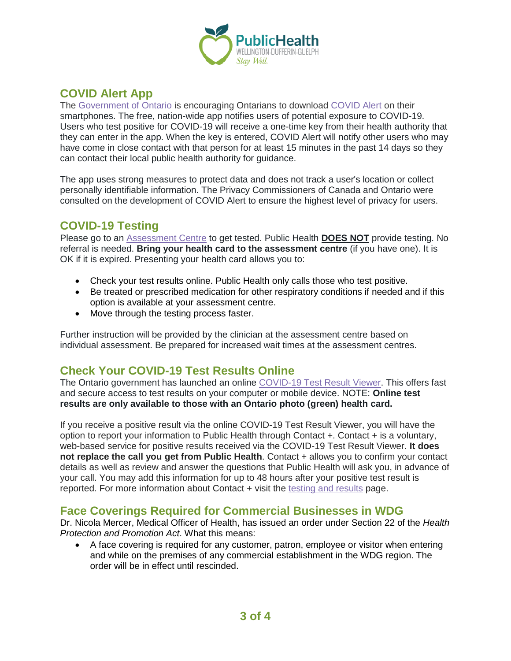

# **COVID Alert App**

The [Government of Ontario](https://news.ontario.ca/opo/en/2020/07/covid-alert-available-for-download-beginning-today.html) is encouraging Ontarians to download [COVID Alert](https://covid-19.ontario.ca/covidalert?_ga=2.68068817.1702415536.1596548534-1123331746.1579028832) on their smartphones. The free, nation-wide app notifies users of potential exposure to COVID-19. Users who test positive for COVID-19 will receive a one-time key from their health authority that they can enter in the app. When the key is entered, COVID Alert will notify other users who may have come in close contact with that person for at least 15 minutes in the past 14 days so they can contact their local public health authority for guidance.

The app uses strong measures to protect data and does not track a user's location or collect personally identifiable information. The Privacy Commissioners of Canada and Ontario were consulted on the development of COVID Alert to ensure the highest level of privacy for users.

# **COVID-19 Testing**

Please go to an [Assessment Centre](https://wdgpublichealth.ca/your-health/covid-19-information-public/assessment-centres-wdg) to get tested. Public Health **DOES NOT** provide testing. No referral is needed. **Bring your health card to the assessment centre** (if you have one). It is OK if it is expired. Presenting your health card allows you to:

- Check your test results online. Public Health only calls those who test positive.
- Be treated or prescribed medication for other respiratory conditions if needed and if this option is available at your assessment centre.
- Move through the testing process faster.

Further instruction will be provided by the clinician at the assessment centre based on individual assessment. Be prepared for increased wait times at the assessment centres.

# **Check Your COVID-19 Test Results Online**

The Ontario government has launched an online [COVID-19 Test Result Viewer.](https://covid19results.ehealthontario.ca:4443/agree) This offers fast and secure access to test results on your computer or mobile device. NOTE: **Online test results are only available to those with an Ontario photo (green) health card.**

If you receive a positive result via the online COVID-19 Test Result Viewer, you will have the option to report your information to Public Health through Contact +. Contact + is a voluntary, web-based service for positive results received via the COVID-19 Test Result Viewer. **It does not replace the call you get from Public Health**. Contact + allows you to confirm your contact details as well as review and answer the questions that Public Health will ask you, in advance of your call. You may add this information for up to 48 hours after your positive test result is reported. For more information about Contact + visit the [testing and results](https://www.wdgpublichealth.ca/your-health/covid-19-information-public/testing-and-results) page.

### **Face Coverings Required for Commercial Businesses in WDG**

Dr. Nicola Mercer, Medical Officer of Health, has issued an order under Section 22 of the *Health Protection and Promotion Act*. What this means:

• A face covering is required for any customer, patron, employee or visitor when entering and while on the premises of any commercial establishment in the WDG region. The order will be in effect until rescinded.